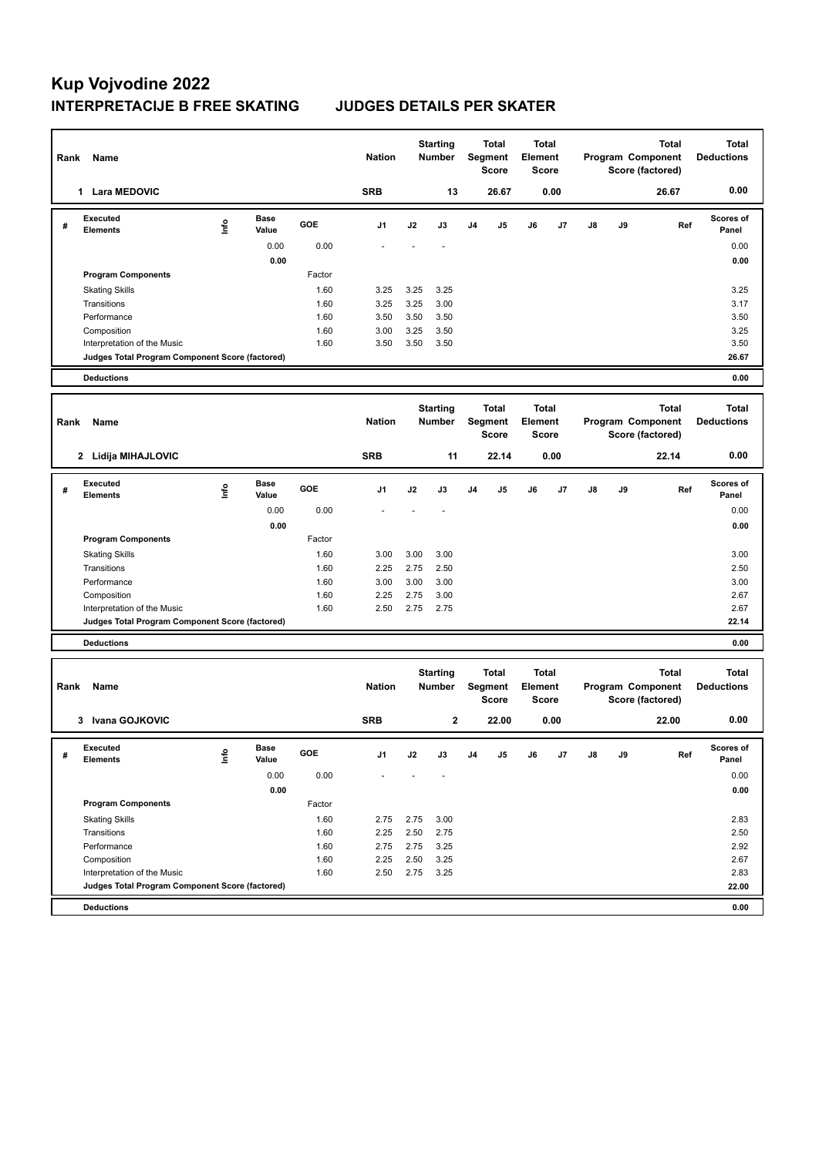| Rank | Name                                                                           |      |                      |              | <b>Nation</b> |                                                   | <b>Starting</b><br>Number        |                | <b>Total</b><br>Segment<br>Score | <b>Total</b><br><b>Element</b> | <b>Score</b>                     |    | Total<br>Program Component<br>Score (factored) |                                                       | <b>Total</b><br><b>Deductions</b> |
|------|--------------------------------------------------------------------------------|------|----------------------|--------------|---------------|---------------------------------------------------|----------------------------------|----------------|----------------------------------|--------------------------------|----------------------------------|----|------------------------------------------------|-------------------------------------------------------|-----------------------------------|
|      | 1 Lara MEDOVIC                                                                 |      |                      |              | <b>SRB</b>    |                                                   | 13                               |                | 26.67                            |                                | 0.00                             |    |                                                | 26.67                                                 | 0.00                              |
| #    | Executed<br><b>Elements</b>                                                    | lnfo | <b>Base</b><br>Value | GOE          | J1            | J2                                                | J3                               | J <sub>4</sub> | J5                               | J6                             | J7                               | J8 | J9                                             | Ref                                                   | <b>Scores of</b><br>Panel         |
|      |                                                                                |      | 0.00                 | 0.00         |               |                                                   |                                  |                |                                  |                                |                                  |    |                                                |                                                       | 0.00                              |
|      |                                                                                |      | 0.00                 |              |               |                                                   |                                  |                |                                  |                                |                                  |    |                                                |                                                       | 0.00                              |
|      | <b>Program Components</b>                                                      |      |                      | Factor       |               |                                                   |                                  |                |                                  |                                |                                  |    |                                                |                                                       |                                   |
|      | <b>Skating Skills</b>                                                          |      |                      | 1.60         | 3.25          | 3.25                                              | 3.25                             |                |                                  |                                |                                  |    |                                                |                                                       | 3.25                              |
|      | Transitions                                                                    |      |                      | 1.60         | 3.25          | 3.25                                              | 3.00                             |                |                                  |                                |                                  |    |                                                |                                                       | 3.17                              |
|      | Performance                                                                    |      |                      | 1.60         | 3.50          | 3.50                                              | 3.50                             |                |                                  |                                |                                  |    |                                                |                                                       | 3.50                              |
|      | Composition                                                                    |      |                      | 1.60<br>1.60 | 3.00          | 3.25                                              | 3.50                             |                |                                  |                                |                                  |    |                                                |                                                       | 3.25                              |
|      | Interpretation of the Music<br>Judges Total Program Component Score (factored) |      |                      |              | 3.50          | 3.50                                              | 3.50                             |                |                                  |                                |                                  |    |                                                |                                                       | 3.50<br>26.67                     |
|      |                                                                                |      |                      |              |               |                                                   |                                  |                |                                  |                                |                                  |    |                                                |                                                       |                                   |
|      | <b>Deductions</b>                                                              |      |                      |              |               |                                                   |                                  |                |                                  |                                |                                  |    |                                                |                                                       | 0.00                              |
| Rank | Name                                                                           |      |                      |              |               | <b>Starting</b><br><b>Nation</b><br><b>Number</b> |                                  |                | <b>Total</b><br>Segment<br>Score |                                | <b>Total</b><br>Element<br>Score |    | Program Component<br>Score (factored)          | <b>Total</b><br><b>Deductions</b>                     |                                   |
|      | 2 Lidija MIHAJLOVIC                                                            |      |                      |              | <b>SRB</b>    |                                                   | 11                               |                | 22.14                            |                                | 0.00                             |    |                                                | 22.14                                                 | 0.00                              |
| #    | <b>Executed</b><br><b>Elements</b>                                             | lnfo | <b>Base</b><br>Value | GOE          | J1            | J2                                                | J3                               | J <sub>4</sub> | J5                               | J6                             | J7                               | J8 | J9                                             | Ref                                                   | Scores of<br>Panel                |
|      |                                                                                |      | 0.00                 | 0.00         |               |                                                   |                                  |                |                                  |                                |                                  |    |                                                |                                                       | 0.00                              |
|      |                                                                                |      | 0.00                 |              |               |                                                   |                                  |                |                                  |                                |                                  |    |                                                |                                                       | 0.00                              |
|      | <b>Program Components</b>                                                      |      |                      | Factor       |               |                                                   |                                  |                |                                  |                                |                                  |    |                                                |                                                       |                                   |
|      | <b>Skating Skills</b>                                                          |      |                      | 1.60         | 3.00          | 3.00                                              | 3.00                             |                |                                  |                                |                                  |    |                                                |                                                       | 3.00                              |
|      | Transitions                                                                    |      |                      | 1.60         | 2.25          | 2.75                                              | 2.50                             |                |                                  |                                |                                  |    |                                                |                                                       | 2.50                              |
|      | Performance                                                                    |      |                      | 1.60         | 3.00          | 3.00                                              | 3.00                             |                |                                  |                                |                                  |    |                                                |                                                       | 3.00                              |
|      | Composition                                                                    |      |                      | 1.60         | 2.25          | 2.75                                              | 3.00                             |                |                                  |                                |                                  |    |                                                |                                                       | 2.67                              |
|      | Interpretation of the Music<br>Judges Total Program Component Score (factored) |      |                      | 1.60         | 2.50          | 2.75                                              | 2.75                             |                |                                  |                                |                                  |    |                                                |                                                       | 2.67<br>22.14                     |
|      |                                                                                |      |                      |              |               |                                                   |                                  |                |                                  |                                |                                  |    |                                                |                                                       |                                   |
|      | <b>Deductions</b>                                                              |      |                      |              |               |                                                   |                                  |                |                                  |                                |                                  |    |                                                |                                                       | 0.00                              |
| Rank | Name                                                                           |      |                      |              | <b>Nation</b> |                                                   | <b>Starting</b><br><b>Number</b> |                | <b>Total</b><br>Segment<br>Score | <b>Total</b><br>Element        | Score                            |    |                                                | <b>Total</b><br>Program Component<br>Score (factored) | <b>Total</b><br><b>Deductions</b> |
|      | 3 Ivana GOJKOVIC                                                               |      |                      |              | <b>SRB</b>    |                                                   | $\mathbf 2$                      |                | 22.00                            |                                | 0.00                             |    |                                                | 22.00                                                 | 0.00                              |
| #    | Executed<br><b>Elements</b>                                                    | ١nf٥ | Base<br>Value        | GOE          | J1            | J2                                                | J3                               | J <sub>4</sub> | J5                               | J6                             | J7                               | J8 | J9                                             | Ref                                                   | Scores of<br>Panel                |
|      |                                                                                |      | 0.00                 | 0.00         |               |                                                   |                                  |                |                                  |                                |                                  |    |                                                |                                                       | 0.00                              |
|      |                                                                                |      | 0.00                 |              |               |                                                   |                                  |                |                                  |                                |                                  |    |                                                |                                                       | 0.00                              |
|      | <b>Program Components</b>                                                      |      |                      | Factor       |               |                                                   |                                  |                |                                  |                                |                                  |    |                                                |                                                       |                                   |
|      | <b>Skating Skills</b>                                                          |      |                      | 1.60         | 2.75          | 2.75                                              | 3.00                             |                |                                  |                                |                                  |    |                                                |                                                       | 2.83                              |
|      | Transitions                                                                    |      |                      | 1.60         | 2.25          | 2.50                                              | 2.75                             |                |                                  |                                |                                  |    |                                                |                                                       | 2.50                              |
|      | Performance                                                                    |      |                      | 1.60         | 2.75          | 2.75                                              | 3.25                             |                |                                  |                                |                                  |    |                                                |                                                       | 2.92                              |
|      | Composition                                                                    |      |                      | 1.60         | 2.25          | 2.50                                              | 3.25                             |                |                                  |                                |                                  |    |                                                |                                                       | 2.67                              |
|      | Interpretation of the Music                                                    |      |                      | 1.60         | 2.50          | 2.75                                              | 3.25                             |                |                                  |                                |                                  |    |                                                |                                                       | 2.83                              |
|      | Judges Total Program Component Score (factored)                                |      |                      |              |               |                                                   |                                  |                |                                  |                                |                                  |    |                                                |                                                       | 22.00                             |
|      | <b>Deductions</b>                                                              |      |                      |              |               |                                                   |                                  |                |                                  |                                |                                  |    |                                                |                                                       | 0.00                              |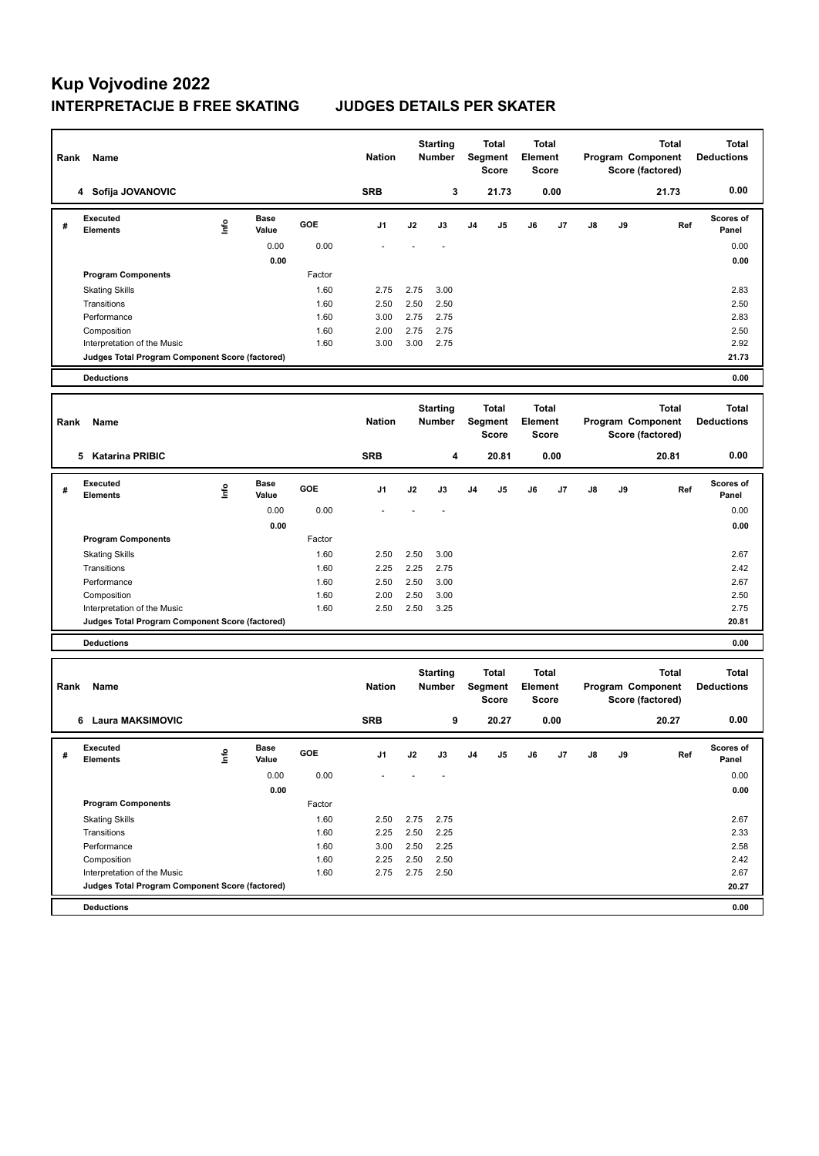| Rank | Name                                                                           |      |                      |              | <b>Nation</b> |                                  | <b>Starting</b><br>Number        |                                  | <b>Total</b><br>Segment<br>Score | <b>Total</b><br><b>Element</b>   | <b>Score</b> |                   | Total<br>Program Component<br>Score (factored) |                                                       | <b>Total</b><br><b>Deductions</b> |
|------|--------------------------------------------------------------------------------|------|----------------------|--------------|---------------|----------------------------------|----------------------------------|----------------------------------|----------------------------------|----------------------------------|--------------|-------------------|------------------------------------------------|-------------------------------------------------------|-----------------------------------|
|      | 4 Sofija JOVANOVIC                                                             |      |                      |              | <b>SRB</b>    |                                  | 3                                |                                  | 21.73                            |                                  | 0.00         |                   |                                                | 21.73                                                 | 0.00                              |
| #    | Executed<br><b>Elements</b>                                                    | ١nf٥ | <b>Base</b><br>Value | GOE          | J1            | J2                               | J3                               | J <sub>4</sub>                   | J5                               | J6                               | J7           | J8                | J9                                             | Ref                                                   | Scores of<br>Panel                |
|      |                                                                                |      | 0.00                 | 0.00         |               |                                  |                                  |                                  |                                  |                                  |              |                   |                                                |                                                       | 0.00                              |
|      |                                                                                |      | 0.00                 |              |               |                                  |                                  |                                  |                                  |                                  |              |                   |                                                |                                                       | 0.00                              |
|      | <b>Program Components</b>                                                      |      |                      | Factor       |               |                                  |                                  |                                  |                                  |                                  |              |                   |                                                |                                                       |                                   |
|      | <b>Skating Skills</b>                                                          |      |                      | 1.60         | 2.75          | 2.75                             | 3.00                             |                                  |                                  |                                  |              |                   |                                                |                                                       | 2.83                              |
|      | Transitions                                                                    |      |                      | 1.60         | 2.50          | 2.50                             | 2.50                             |                                  |                                  |                                  |              |                   |                                                |                                                       | 2.50                              |
|      | Performance                                                                    |      |                      | 1.60         | 3.00          | 2.75                             | 2.75                             |                                  |                                  |                                  |              |                   |                                                |                                                       | 2.83                              |
|      | Composition<br>Interpretation of the Music                                     |      |                      | 1.60<br>1.60 | 2.00<br>3.00  | 2.75<br>3.00                     | 2.75<br>2.75                     |                                  |                                  |                                  |              |                   |                                                |                                                       | 2.50<br>2.92                      |
|      | Judges Total Program Component Score (factored)                                |      |                      |              |               |                                  |                                  |                                  |                                  |                                  |              |                   |                                                |                                                       | 21.73                             |
|      | <b>Deductions</b>                                                              |      |                      |              |               |                                  |                                  |                                  |                                  |                                  |              |                   |                                                |                                                       | 0.00                              |
|      |                                                                                |      |                      |              |               |                                  |                                  |                                  |                                  |                                  |              |                   |                                                |                                                       |                                   |
| Rank | Name                                                                           |      |                      |              | <b>Nation</b> | <b>Starting</b><br><b>Number</b> |                                  | <b>Total</b><br>Segment<br>Score |                                  | <b>Total</b><br>Element<br>Score |              | Program Component | <b>Total</b><br><b>Deductions</b>              |                                                       |                                   |
|      | 5 Katarina PRIBIC                                                              |      |                      |              | <b>SRB</b>    |                                  | 4                                |                                  | 20.81                            |                                  | 0.00         |                   |                                                | 20.81                                                 | 0.00                              |
| #    | <b>Executed</b><br><b>Elements</b>                                             | lnfo | <b>Base</b><br>Value | GOE          | J1            | J2                               | J3                               | J <sub>4</sub>                   | J5                               | J6                               | J7           | J8                | J9                                             | Ref                                                   | Scores of<br>Panel                |
|      |                                                                                |      | 0.00                 | 0.00         |               |                                  |                                  |                                  |                                  |                                  |              |                   |                                                |                                                       | 0.00                              |
|      |                                                                                |      | 0.00                 |              |               |                                  |                                  |                                  |                                  |                                  |              |                   |                                                |                                                       | 0.00                              |
|      | <b>Program Components</b>                                                      |      |                      | Factor       |               |                                  |                                  |                                  |                                  |                                  |              |                   |                                                |                                                       |                                   |
|      | <b>Skating Skills</b>                                                          |      |                      | 1.60         | 2.50          | 2.50                             | 3.00                             |                                  |                                  |                                  |              |                   |                                                |                                                       | 2.67                              |
|      | Transitions                                                                    |      |                      | 1.60         | 2.25          | 2.25                             | 2.75                             |                                  |                                  |                                  |              |                   |                                                |                                                       | 2.42                              |
|      | Performance                                                                    |      |                      | 1.60         | 2.50          | 2.50                             | 3.00                             |                                  |                                  |                                  |              |                   |                                                |                                                       | 2.67                              |
|      | Composition                                                                    |      |                      | 1.60<br>1.60 | 2.00<br>2.50  | 2.50<br>2.50                     | 3.00<br>3.25                     |                                  |                                  |                                  |              |                   |                                                |                                                       | 2.50<br>2.75                      |
|      | Interpretation of the Music<br>Judges Total Program Component Score (factored) |      |                      |              |               |                                  |                                  |                                  |                                  |                                  |              |                   |                                                |                                                       | 20.81                             |
|      |                                                                                |      |                      |              |               |                                  |                                  |                                  |                                  |                                  |              |                   |                                                |                                                       |                                   |
|      | <b>Deductions</b>                                                              |      |                      |              |               |                                  |                                  |                                  |                                  |                                  |              |                   |                                                |                                                       | 0.00                              |
| Rank | Name                                                                           |      |                      |              | <b>Nation</b> |                                  | <b>Starting</b><br><b>Number</b> |                                  | <b>Total</b><br>Segment<br>Score | <b>Total</b><br>Element          | Score        |                   |                                                | <b>Total</b><br>Program Component<br>Score (factored) | <b>Total</b><br><b>Deductions</b> |
|      | 6 Laura MAKSIMOVIC                                                             |      |                      |              | <b>SRB</b>    |                                  | 9                                |                                  | 20.27                            |                                  | 0.00         |                   |                                                | 20.27                                                 | 0.00                              |
| #    | Executed<br><b>Elements</b>                                                    | ١nf٥ | Base<br>Value        | GOE          | J1            | J2                               | J3                               | J <sub>4</sub>                   | J5                               | J6                               | J7           | J8                | J9                                             | Ref                                                   | <b>Scores of</b><br>Panel         |
|      |                                                                                |      | 0.00                 | 0.00         |               |                                  |                                  |                                  |                                  |                                  |              |                   |                                                |                                                       | 0.00                              |
|      |                                                                                |      | 0.00                 |              |               |                                  |                                  |                                  |                                  |                                  |              |                   |                                                |                                                       | 0.00                              |
|      | <b>Program Components</b>                                                      |      |                      | Factor       |               |                                  |                                  |                                  |                                  |                                  |              |                   |                                                |                                                       |                                   |
|      | <b>Skating Skills</b>                                                          |      |                      | 1.60         | 2.50          | 2.75                             | 2.75                             |                                  |                                  |                                  |              |                   |                                                |                                                       | 2.67                              |
|      | Transitions                                                                    |      |                      | 1.60         | 2.25          | 2.50                             | 2.25                             |                                  |                                  |                                  |              |                   |                                                |                                                       | 2.33                              |
|      | Performance                                                                    |      |                      | 1.60         | 3.00          | 2.50                             | 2.25                             |                                  |                                  |                                  |              |                   |                                                |                                                       | 2.58                              |
|      | Composition<br>Interpretation of the Music                                     |      |                      | 1.60<br>1.60 | 2.25<br>2.75  | 2.50<br>2.75                     | 2.50<br>2.50                     |                                  |                                  |                                  |              |                   |                                                |                                                       | 2.42<br>2.67                      |
|      | Judges Total Program Component Score (factored)                                |      |                      |              |               |                                  |                                  |                                  |                                  |                                  |              |                   |                                                |                                                       | 20.27                             |
|      |                                                                                |      |                      |              |               |                                  |                                  |                                  |                                  |                                  |              |                   |                                                |                                                       |                                   |
|      | <b>Deductions</b>                                                              |      |                      |              |               |                                  |                                  |                                  |                                  |                                  |              |                   |                                                |                                                       | 0.00                              |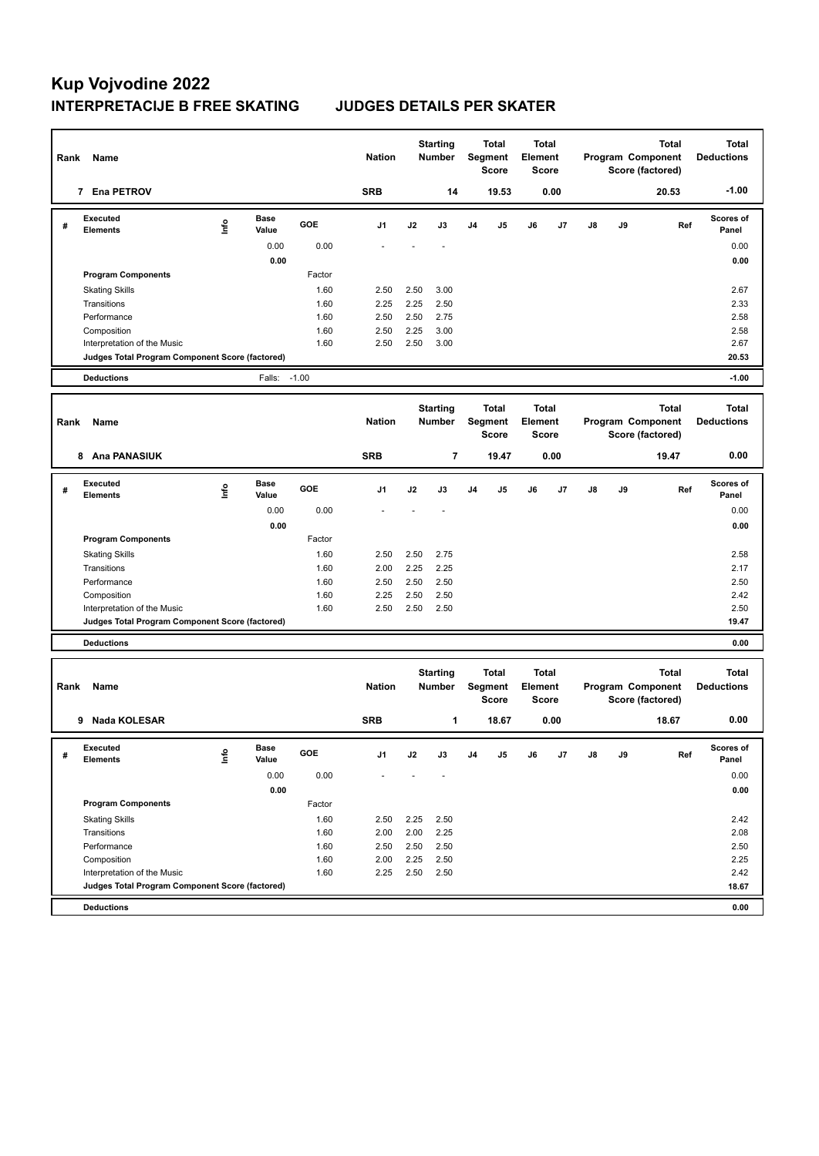| Rank | Name                                            |                                  |                      |            | <b>Nation</b> |      | <b>Starting</b><br><b>Number</b> |                | Total<br>Segment<br><b>Score</b>        | <b>Total</b><br>Element | Score        |    |    | <b>Total</b><br>Program Component<br>Score (factored) | <b>Total</b><br><b>Deductions</b> |
|------|-------------------------------------------------|----------------------------------|----------------------|------------|---------------|------|----------------------------------|----------------|-----------------------------------------|-------------------------|--------------|----|----|-------------------------------------------------------|-----------------------------------|
|      | 7 Ena PETROV                                    |                                  |                      |            | <b>SRB</b>    |      | 14                               |                | 19.53                                   |                         | 0.00         |    |    | 20.53                                                 | $-1.00$                           |
| #    | Executed<br><b>Elements</b>                     | lnfo                             | <b>Base</b><br>Value | <b>GOE</b> | J1            | J2   | J3                               | J <sub>4</sub> | J5                                      | J6                      | J7           | J8 | J9 | Ref                                                   | Scores of<br>Panel                |
|      |                                                 |                                  | 0.00                 | 0.00       |               |      |                                  |                |                                         |                         |              |    |    |                                                       | 0.00                              |
|      |                                                 |                                  | 0.00                 |            |               |      |                                  |                |                                         |                         |              |    |    |                                                       | 0.00                              |
|      | <b>Program Components</b>                       |                                  |                      | Factor     |               |      |                                  |                |                                         |                         |              |    |    |                                                       |                                   |
|      | <b>Skating Skills</b>                           |                                  |                      | 1.60       | 2.50          | 2.50 | 3.00                             |                |                                         |                         |              |    |    |                                                       | 2.67                              |
|      | Transitions                                     |                                  |                      | 1.60       | 2.25          | 2.25 | 2.50                             |                |                                         |                         |              |    |    |                                                       | 2.33                              |
|      | Performance                                     |                                  |                      | 1.60       | 2.50          | 2.50 | 2.75                             |                |                                         |                         |              |    |    |                                                       | 2.58                              |
|      | Composition                                     |                                  |                      | 1.60       | 2.50          | 2.25 | 3.00                             |                |                                         |                         |              |    |    |                                                       | 2.58                              |
|      | Interpretation of the Music                     |                                  |                      | 1.60       | 2.50          | 2.50 | 3.00                             |                |                                         |                         |              |    |    |                                                       | 2.67                              |
|      | Judges Total Program Component Score (factored) |                                  |                      |            |               |      |                                  |                |                                         |                         |              |    |    |                                                       | 20.53                             |
|      | <b>Deductions</b>                               |                                  | Falls:               | $-1.00$    |               |      |                                  |                |                                         |                         |              |    |    |                                                       | $-1.00$                           |
| Rank | Name                                            |                                  |                      |            | <b>Nation</b> |      | <b>Starting</b><br><b>Number</b> |                | Total<br>Segment<br><b>Score</b>        | <b>Total</b><br>Element | <b>Score</b> |    |    | <b>Total</b><br>Program Component<br>Score (factored) | <b>Total</b><br><b>Deductions</b> |
|      | 8 Ana PANASIUK                                  |                                  |                      |            | <b>SRB</b>    |      | $\overline{7}$                   |                | 19.47                                   |                         | 0.00         |    |    | 19.47                                                 | 0.00                              |
| #    | <b>Executed</b><br><b>Elements</b>              | ١mfo                             | <b>Base</b><br>Value | <b>GOE</b> | J1            | J2   | J3                               | J <sub>4</sub> | J5                                      | J6                      | J7           | J8 | J9 | Ref                                                   | Scores of<br>Panel                |
|      |                                                 |                                  | 0.00                 | 0.00       |               |      |                                  |                |                                         |                         |              |    |    |                                                       | 0.00                              |
|      |                                                 |                                  | 0.00                 |            |               |      |                                  |                |                                         |                         |              |    |    |                                                       | 0.00                              |
|      | <b>Program Components</b>                       |                                  |                      | Factor     |               |      |                                  |                |                                         |                         |              |    |    |                                                       |                                   |
|      | <b>Skating Skills</b>                           |                                  |                      | 1.60       | 2.50          | 2.50 | 2.75                             |                |                                         |                         |              |    |    |                                                       | 2.58                              |
|      | Transitions                                     |                                  |                      | 1.60       | 2.00          | 2.25 | 2.25                             |                |                                         |                         |              |    |    |                                                       | 2.17                              |
|      | Performance                                     |                                  |                      | 1.60       | 2.50          | 2.50 | 2.50                             |                |                                         |                         |              |    |    |                                                       | 2.50                              |
|      | Composition                                     |                                  |                      | 1.60       | 2.25          | 2.50 | 2.50                             |                |                                         |                         |              |    |    |                                                       | 2.42                              |
|      | Interpretation of the Music                     |                                  |                      | 1.60       | 2.50          | 2.50 | 2.50                             |                |                                         |                         |              |    |    |                                                       | 2.50                              |
|      | Judges Total Program Component Score (factored) |                                  |                      |            |               |      |                                  |                |                                         |                         |              |    |    |                                                       | 19.47                             |
|      | <b>Deductions</b>                               |                                  |                      |            |               |      |                                  |                |                                         |                         |              |    |    |                                                       | 0.00                              |
| Rank | Name                                            |                                  |                      |            | <b>Nation</b> |      | <b>Starting</b><br>Number        |                | <b>Total</b><br>Segment<br><b>Score</b> | <b>Total</b><br>Element | Score        |    |    | <b>Total</b><br>Program Component<br>Score (factored) | <b>Total</b><br><b>Deductions</b> |
|      | <b>Nada KOLESAR</b><br>9                        |                                  |                      |            | <b>SRB</b>    |      | 1                                |                | 18.67                                   |                         | 0.00         |    |    | 18.67                                                 | 0.00                              |
| #    | Executed<br><b>Elements</b>                     | $\mathop{\mathsf{Int}}\nolimits$ | Base<br>Value        | GOE        | J1            | J2   | J3                               | J4             | J5                                      | J6                      | J7           | J8 | J9 | Ref                                                   | Scores of<br>Panel                |
|      |                                                 |                                  | 0.00                 | 0.00       |               |      |                                  |                |                                         |                         |              |    |    |                                                       | 0.00                              |
|      |                                                 |                                  | 0.00                 |            |               |      |                                  |                |                                         |                         |              |    |    |                                                       | 0.00                              |
|      | <b>Program Components</b>                       |                                  |                      | Factor     |               |      |                                  |                |                                         |                         |              |    |    |                                                       |                                   |
|      | <b>Skating Skills</b>                           |                                  |                      | 1.60       | 2.50          | 2.25 | 2.50                             |                |                                         |                         |              |    |    |                                                       | 2.42                              |
|      | Transitions                                     |                                  |                      | 1.60       | 2.00          | 2.00 | 2.25                             |                |                                         |                         |              |    |    |                                                       | 2.08                              |
|      | Performance                                     |                                  |                      | 1.60       | 2.50          | 2.50 | 2.50                             |                |                                         |                         |              |    |    |                                                       | 2.50                              |
|      | Composition                                     |                                  |                      | 1.60       | 2.00          | 2.25 | 2.50                             |                |                                         |                         |              |    |    |                                                       | 2.25                              |
|      | Interpretation of the Music                     |                                  |                      | 1.60       | 2.25          | 2.50 | 2.50                             |                |                                         |                         |              |    |    |                                                       | 2.42                              |
|      | Judges Total Program Component Score (factored) |                                  |                      |            |               |      |                                  |                |                                         |                         |              |    |    |                                                       | 18.67                             |
|      | <b>Deductions</b>                               |                                  |                      |            |               |      |                                  |                |                                         |                         |              |    |    |                                                       | 0.00                              |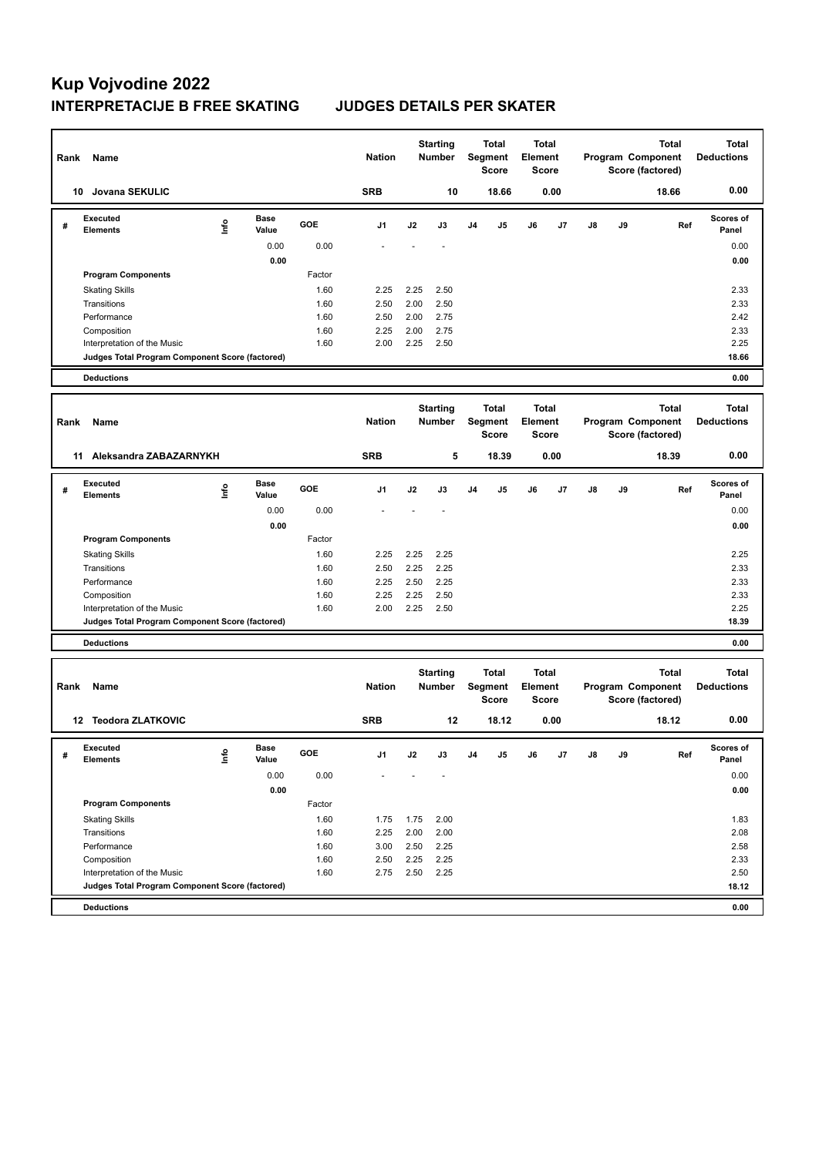| Rank | Name                                                                           |                           |                      |              | <b>Nation</b> |              | <b>Starting</b><br><b>Number</b> | <b>Total</b><br>Segment<br>Score |                                  | <b>Total</b><br>Element<br>Score        |                       |                                       | <b>Total</b><br>Program Component<br>Score (factored) |                                                       | <b>Total</b><br><b>Deductions</b> |
|------|--------------------------------------------------------------------------------|---------------------------|----------------------|--------------|---------------|--------------|----------------------------------|----------------------------------|----------------------------------|-----------------------------------------|-----------------------|---------------------------------------|-------------------------------------------------------|-------------------------------------------------------|-----------------------------------|
|      | 10 Jovana SEKULIC                                                              |                           |                      |              | <b>SRB</b>    |              | 10                               |                                  | 18.66                            |                                         | 0.00                  |                                       |                                                       | 18.66                                                 | 0.00                              |
| #    | <b>Executed</b><br><b>Elements</b>                                             | lnfo                      | Base<br>Value        | GOE          | J1            | J2           | J3                               | J <sub>4</sub>                   | J5                               | J6                                      | J7                    | J8                                    | J9                                                    | Ref                                                   | <b>Scores of</b><br>Panel         |
|      |                                                                                |                           | 0.00<br>0.00         | 0.00         |               |              |                                  |                                  |                                  |                                         |                       |                                       |                                                       |                                                       | 0.00                              |
|      | <b>Program Components</b>                                                      |                           |                      | Factor       |               |              |                                  |                                  |                                  |                                         |                       |                                       |                                                       |                                                       | 0.00                              |
|      | <b>Skating Skills</b>                                                          |                           |                      | 1.60         | 2.25          | 2.25         | 2.50                             |                                  |                                  |                                         |                       |                                       |                                                       |                                                       | 2.33                              |
|      | Transitions                                                                    |                           |                      | 1.60         | 2.50          | 2.00         | 2.50                             |                                  |                                  |                                         |                       |                                       |                                                       |                                                       | 2.33                              |
|      | Performance                                                                    |                           |                      | 1.60         | 2.50          | 2.00         | 2.75                             |                                  |                                  |                                         |                       |                                       |                                                       |                                                       | 2.42                              |
|      | Composition                                                                    |                           |                      | 1.60         | 2.25          | 2.00         | 2.75                             |                                  |                                  |                                         |                       |                                       |                                                       |                                                       | 2.33                              |
|      | Interpretation of the Music<br>Judges Total Program Component Score (factored) |                           |                      | 1.60         | 2.00          | 2.25         | 2.50                             |                                  |                                  |                                         |                       |                                       |                                                       |                                                       | 2.25<br>18.66                     |
|      | <b>Deductions</b>                                                              |                           |                      |              |               |              |                                  |                                  |                                  |                                         |                       |                                       |                                                       |                                                       | 0.00                              |
|      |                                                                                |                           |                      |              |               |              |                                  |                                  |                                  |                                         |                       |                                       |                                                       |                                                       |                                   |
| Rank | Name                                                                           |                           |                      |              | <b>Nation</b> |              | <b>Starting</b><br><b>Number</b> |                                  | <b>Total</b><br>Segment<br>Score | Element                                 | <b>Total</b><br>Score |                                       |                                                       | <b>Total</b><br>Program Component<br>Score (factored) | <b>Total</b><br><b>Deductions</b> |
|      |                                                                                | 11 Aleksandra ZABAZARNYKH |                      |              |               |              | 5                                |                                  | 18.39                            |                                         | 0.00                  |                                       |                                                       | 18.39                                                 | 0.00                              |
| #    | <b>Executed</b><br>Elements                                                    | lnfo                      | <b>Base</b><br>Value | GOE          | J1            | J2           | J3                               | J <sub>4</sub>                   | J5                               | J6                                      | J7                    | J8                                    | J9                                                    | Ref                                                   | Scores of<br>Panel                |
|      |                                                                                |                           | 0.00                 | 0.00         |               |              |                                  |                                  |                                  |                                         |                       |                                       |                                                       |                                                       | 0.00                              |
|      |                                                                                |                           | 0.00                 |              |               |              |                                  |                                  |                                  |                                         |                       |                                       |                                                       |                                                       | 0.00                              |
|      | <b>Program Components</b>                                                      |                           |                      | Factor       |               |              |                                  |                                  |                                  |                                         |                       |                                       |                                                       |                                                       |                                   |
|      | <b>Skating Skills</b><br>Transitions                                           |                           |                      | 1.60<br>1.60 | 2.25<br>2.50  | 2.25<br>2.25 | 2.25<br>2.25                     |                                  |                                  |                                         |                       |                                       |                                                       |                                                       | 2.25<br>2.33                      |
|      | Performance                                                                    |                           |                      | 1.60         | 2.25          | 2.50         | 2.25                             |                                  |                                  |                                         |                       |                                       |                                                       |                                                       | 2.33                              |
|      | Composition                                                                    |                           |                      | 1.60         | 2.25          | 2.25         | 2.50                             |                                  |                                  |                                         |                       |                                       |                                                       |                                                       | 2.33                              |
|      | Interpretation of the Music                                                    |                           |                      | 1.60         | 2.00          | 2.25         | 2.50                             |                                  |                                  |                                         |                       |                                       |                                                       |                                                       | 2.25                              |
|      | Judges Total Program Component Score (factored)                                |                           |                      |              |               |              |                                  |                                  |                                  |                                         |                       |                                       |                                                       |                                                       | 18.39                             |
|      | <b>Deductions</b>                                                              |                           |                      |              |               |              |                                  |                                  |                                  |                                         |                       |                                       |                                                       |                                                       | 0.00                              |
| Rank | Name                                                                           |                           |                      |              | <b>Nation</b> |              | <b>Starting</b><br><b>Number</b> | <b>Total</b><br>Segment<br>Score |                                  | <b>Total</b><br>Element<br><b>Score</b> |                       | Program Component<br>Score (factored) |                                                       | <b>Total</b>                                          | <b>Total</b><br><b>Deductions</b> |
|      | 12 Teodora ZLATKOVIC                                                           |                           |                      |              | <b>SRB</b>    |              | 12                               |                                  | 18.12                            |                                         | 0.00                  |                                       |                                                       | 18.12                                                 | 0.00                              |
| #    | Executed<br><b>Elements</b>                                                    | lnfo                      | вase<br>Value        | GOE          | J1            | J2           | J3                               | J4                               | J5                               | J6                                      | J7                    | J8                                    | J9                                                    | Ref                                                   | <b>Scores or</b><br>Panel         |
|      |                                                                                |                           | 0.00<br>0.00         | 0.00         |               |              |                                  |                                  |                                  |                                         |                       |                                       |                                                       |                                                       | 0.00                              |
|      | <b>Program Components</b>                                                      |                           |                      | Factor       |               |              |                                  |                                  |                                  |                                         |                       |                                       |                                                       |                                                       | 0.00                              |
|      | <b>Skating Skills</b>                                                          |                           |                      | 1.60         | 1.75          | 1.75         | 2.00                             |                                  |                                  |                                         |                       |                                       |                                                       |                                                       | 1.83                              |
|      | Transitions                                                                    |                           |                      | 1.60         | 2.25          | 2.00         | 2.00                             |                                  |                                  |                                         |                       |                                       |                                                       |                                                       | 2.08                              |
|      | Performance                                                                    |                           |                      | 1.60         | 3.00          | 2.50         | 2.25                             |                                  |                                  |                                         |                       |                                       |                                                       |                                                       | 2.58                              |
|      | Composition                                                                    |                           |                      | 1.60         | 2.50          | 2.25         | 2.25                             |                                  |                                  |                                         |                       |                                       |                                                       |                                                       | 2.33                              |
|      | Interpretation of the Music                                                    |                           |                      | 1.60         | 2.75          | 2.50         | 2.25                             |                                  |                                  |                                         |                       |                                       |                                                       |                                                       | 2.50                              |
|      | Judges Total Program Component Score (factored)                                |                           |                      |              |               |              |                                  |                                  |                                  |                                         |                       |                                       |                                                       |                                                       | 18.12                             |
|      | <b>Deductions</b>                                                              |                           |                      |              |               |              |                                  |                                  |                                  |                                         |                       |                                       |                                                       |                                                       | 0.00                              |